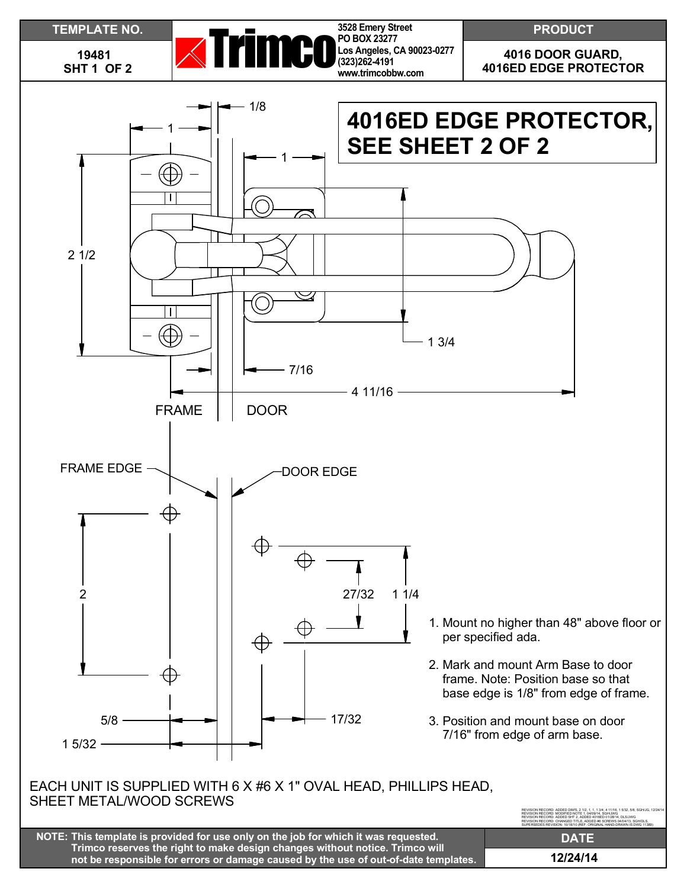